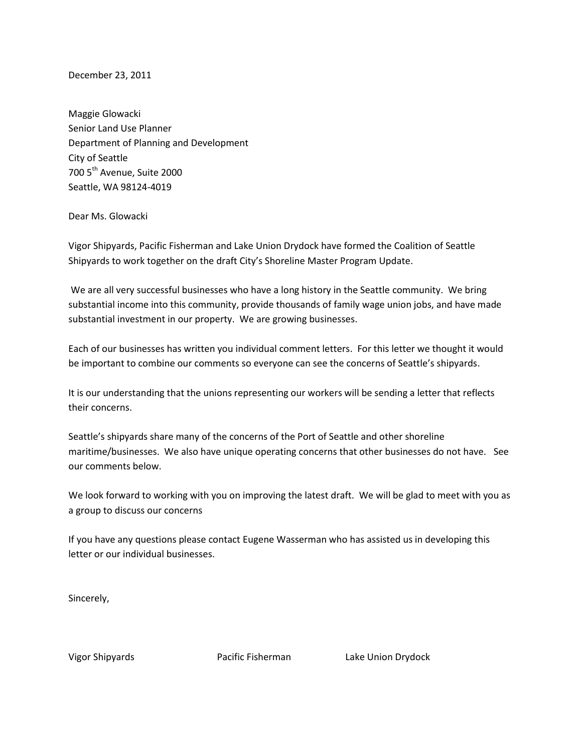December 23, 2011

Maggie Glowacki Senior Land Use Planner Department of Planning and Development City of Seattle 700 5<sup>th</sup> Avenue, Suite 2000 Seattle, WA 98124-4019

## Dear Ms. Glowacki

Vigor Shipyards, Pacific Fisherman and Lake Union Drydock have formed the Coalition of Seattle Shipyards to work together on the draft City's Shoreline Master Program Update.

We are all very successful businesses who have a long history in the Seattle community. We bring substantial income into this community, provide thousands of family wage union jobs, and have made substantial investment in our property. We are growing businesses.

Each of our businesses has written you individual comment letters. For this letter we thought it would be important to combine our comments so everyone can see the concerns of Seattle's shipyards.

It is our understanding that the unions representing our workers will be sending a letter that reflects their concerns.

Seattle's shipyards share many of the concerns of the Port of Seattle and other shoreline maritime/businesses. We also have unique operating concerns that other businesses do not have. See our comments below.

We look forward to working with you on improving the latest draft. We will be glad to meet with you as a group to discuss our concerns

If you have any questions please contact Eugene Wasserman who has assisted us in developing this letter or our individual businesses.

Sincerely,

Vigor Shipyards Pacific Fisherman Lake Union Drydock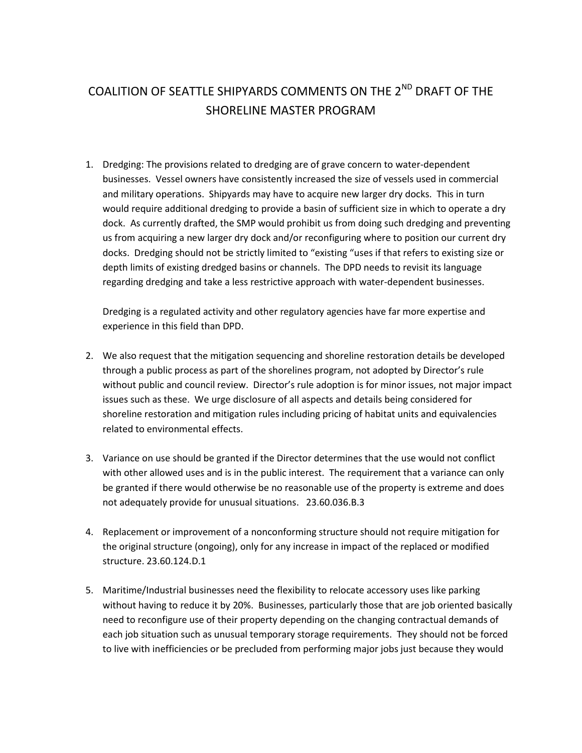## COALITION OF SEATTLE SHIPYARDS COMMENTS ON THE 2<sup>ND</sup> DRAFT OF THE SHORELINE MASTER PROGRAM

1. Dredging: The provisions related to dredging are of grave concern to water-dependent businesses. Vessel owners have consistently increased the size of vessels used in commercial and military operations. Shipyards may have to acquire new larger dry docks. This in turn would require additional dredging to provide a basin of sufficient size in which to operate a dry dock. As currently drafted, the SMP would prohibit us from doing such dredging and preventing us from acquiring a new larger dry dock and/or reconfiguring where to position our current dry docks. Dredging should not be strictly limited to "existing "uses if that refers to existing size or depth limits of existing dredged basins or channels. The DPD needs to revisit its language regarding dredging and take a less restrictive approach with water-dependent businesses.

Dredging is a regulated activity and other regulatory agencies have far more expertise and experience in this field than DPD.

- 2. We also request that the mitigation sequencing and shoreline restoration details be developed through a public process as part of the shorelines program, not adopted by Director's rule without public and council review. Director's rule adoption is for minor issues, not major impact issues such as these. We urge disclosure of all aspects and details being considered for shoreline restoration and mitigation rules including pricing of habitat units and equivalencies related to environmental effects.
- 3. Variance on use should be granted if the Director determines that the use would not conflict with other allowed uses and is in the public interest. The requirement that a variance can only be granted if there would otherwise be no reasonable use of the property is extreme and does not adequately provide for unusual situations. 23.60.036.B.3
- 4. Replacement or improvement of a nonconforming structure should not require mitigation for the original structure (ongoing), only for any increase in impact of the replaced or modified structure. 23.60.124.D.1
- 5. Maritime/Industrial businesses need the flexibility to relocate accessory uses like parking without having to reduce it by 20%. Businesses, particularly those that are job oriented basically need to reconfigure use of their property depending on the changing contractual demands of each job situation such as unusual temporary storage requirements. They should not be forced to live with inefficiencies or be precluded from performing major jobs just because they would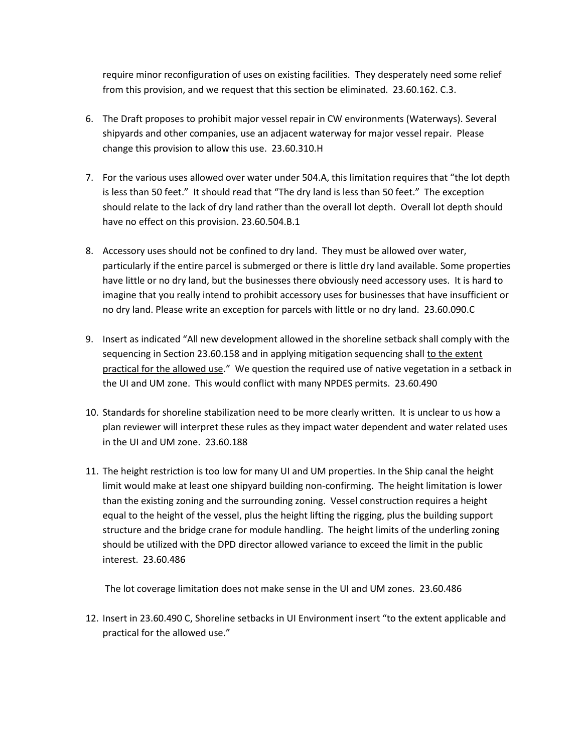require minor reconfiguration of uses on existing facilities. They desperately need some relief from this provision, and we request that this section be eliminated. 23.60.162. C.3.

- 6. The Draft proposes to prohibit major vessel repair in CW environments (Waterways). Several shipyards and other companies, use an adjacent waterway for major vessel repair. Please change this provision to allow this use. 23.60.310.H
- 7. For the various uses allowed over water under 504.A, this limitation requires that "the lot depth is less than 50 feet." It should read that "The dry land is less than 50 feet." The exception should relate to the lack of dry land rather than the overall lot depth. Overall lot depth should have no effect on this provision. 23.60.504.B.1
- 8. Accessory uses should not be confined to dry land. They must be allowed over water, particularly if the entire parcel is submerged or there is little dry land available. Some properties have little or no dry land, but the businesses there obviously need accessory uses. It is hard to imagine that you really intend to prohibit accessory uses for businesses that have insufficient or no dry land. Please write an exception for parcels with little or no dry land. 23.60.090.C
- 9. Insert as indicated "All new development allowed in the shoreline setback shall comply with the sequencing in Section 23.60.158 and in applying mitigation sequencing shall to the extent practical for the allowed use." We question the required use of native vegetation in a setback in the UI and UM zone. This would conflict with many NPDES permits. 23.60.490
- 10. Standards for shoreline stabilization need to be more clearly written. It is unclear to us how a plan reviewer will interpret these rules as they impact water dependent and water related uses in the UI and UM zone. 23.60.188
- 11. The height restriction is too low for many UI and UM properties. In the Ship canal the height limit would make at least one shipyard building non-confirming. The height limitation is lower than the existing zoning and the surrounding zoning. Vessel construction requires a height equal to the height of the vessel, plus the height lifting the rigging, plus the building support structure and the bridge crane for module handling. The height limits of the underling zoning should be utilized with the DPD director allowed variance to exceed the limit in the public interest. 23.60.486

The lot coverage limitation does not make sense in the UI and UM zones. 23.60.486

12. Insert in 23.60.490 C, Shoreline setbacks in UI Environment insert "to the extent applicable and practical for the allowed use."